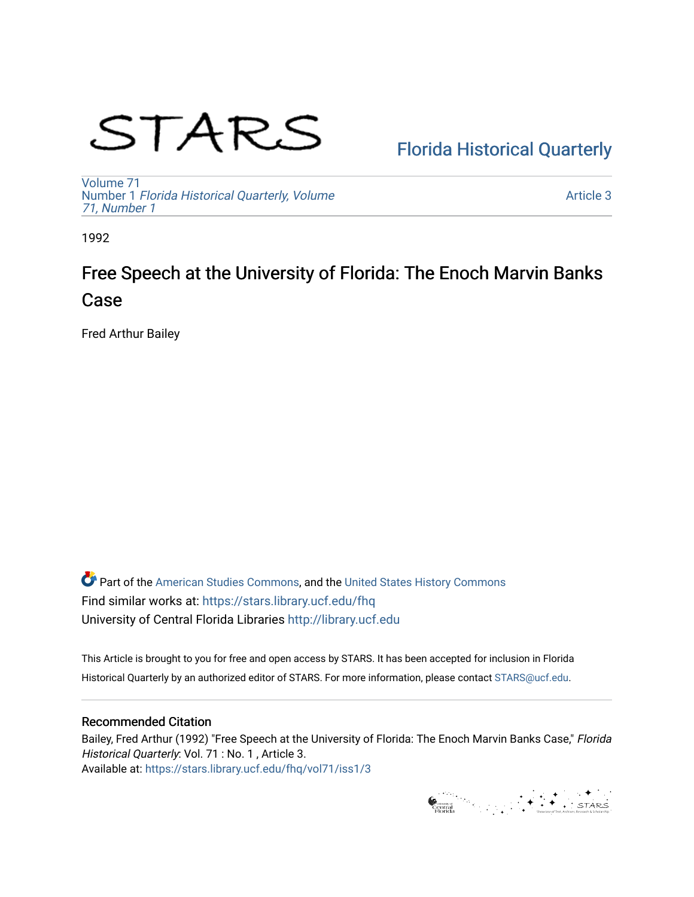# STARS

## [Florida Historical Quarterly](https://stars.library.ucf.edu/fhq)

[Volume 71](https://stars.library.ucf.edu/fhq/vol71) Number 1 [Florida Historical Quarterly, Volume](https://stars.library.ucf.edu/fhq/vol71/iss1)  [71, Number 1](https://stars.library.ucf.edu/fhq/vol71/iss1)

[Article 3](https://stars.library.ucf.edu/fhq/vol71/iss1/3) 

1992

# Free Speech at the University of Florida: The Enoch Marvin Banks Case

Fred Arthur Bailey

**C** Part of the [American Studies Commons](http://network.bepress.com/hgg/discipline/439?utm_source=stars.library.ucf.edu%2Ffhq%2Fvol71%2Fiss1%2F3&utm_medium=PDF&utm_campaign=PDFCoverPages), and the United States History Commons Find similar works at: <https://stars.library.ucf.edu/fhq> University of Central Florida Libraries [http://library.ucf.edu](http://library.ucf.edu/) 

This Article is brought to you for free and open access by STARS. It has been accepted for inclusion in Florida Historical Quarterly by an authorized editor of STARS. For more information, please contact [STARS@ucf.edu.](mailto:STARS@ucf.edu)

## Recommended Citation

Bailey, Fred Arthur (1992) "Free Speech at the University of Florida: The Enoch Marvin Banks Case," Florida Historical Quarterly: Vol. 71 : No. 1, Article 3. Available at: [https://stars.library.ucf.edu/fhq/vol71/iss1/3](https://stars.library.ucf.edu/fhq/vol71/iss1/3?utm_source=stars.library.ucf.edu%2Ffhq%2Fvol71%2Fiss1%2F3&utm_medium=PDF&utm_campaign=PDFCoverPages) 

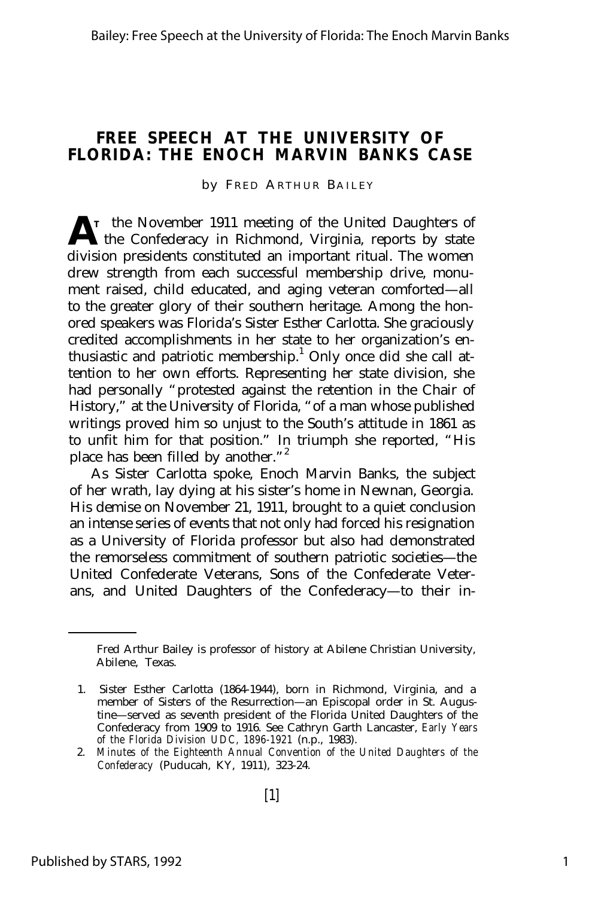### **FREE SPEECH AT THE UNIVERSITY OF FLORIDA: THE ENOCH MARVIN BANKS CASE**

by FRED ARTHUR BAILEY

A<sup>T</sup> the November 1911 meeting of the United Daughters of the Confederacy in Richmond, Virginia, reports by state **T** the November 1911 meeting of the United Daughters of division presidents constituted an important ritual. The women drew strength from each successful membership drive, monument raised, child educated, and aging veteran comforted— all to the greater glory of their southern heritage. Among the honored speakers was Florida's Sister Esther Carlotta. She graciously credited accomplishments in her state to her organization's enthusiastic and patriotic membership.<sup>1</sup> Only once did she call attention to her own efforts. Representing her state division, she had personally "protested against the retention in the Chair of History," at the University of Florida, "of a man whose published writings proved him so unjust to the South's attitude in 1861 as to unfit him for that position." In triumph she reported, "His place has been filled by another."<sup>2</sup>

As Sister Carlotta spoke, Enoch Marvin Banks, the subject of her wrath, lay dying at his sister's home in Newnan, Georgia. His demise on November 21, 1911, brought to a quiet conclusion an intense series of events that not only had forced his resignation as a University of Florida professor but also had demonstrated the remorseless commitment of southern patriotic societies— the United Confederate Veterans, Sons of the Confederate Veterans, and United Daughters of the Confederacy— to their in-

Fred Arthur Bailey is professor of history at Abilene Christian University, Abilene, Texas.

<sup>1.</sup> Sister Esther Carlotta (1864-1944), born in Richmond, Virginia, and a member of Sisters of the Resurrection— an Episcopal order in St. Augustine— served as seventh president of the Florida United Daughters of the Confederacy from 1909 to 1916. See Cathryn Garth Lancaster, *Early Years of the Florida Division UDC, 1896-1921* (n.p., 1983).

<sup>2.</sup> *Minutes of the Eighteenth Annual Convention of the United Daughters of the Confederacy* (Puducah, KY, 1911), 323-24.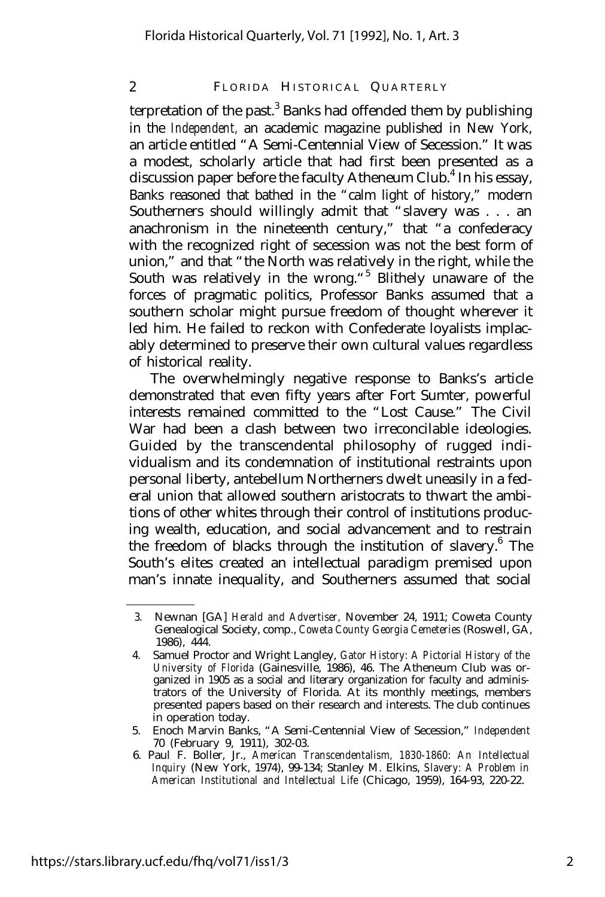terpretation of the past.<sup>3</sup> Banks had offended them by publishing in the *Independent,* an academic magazine published in New York, an article entitled "A Semi-Centennial View of Secession." It was a modest, scholarly article that had first been presented as a discussion paper before the faculty Atheneum Club.<sup>4</sup> In his essay, Banks reasoned that bathed in the "calm light of history," modern Southerners should willingly admit that "slavery was . . . an anachronism in the nineteenth century," that "a confederacy with the recognized right of secession was not the best form of union," and that "the North was relatively in the right, while the South was relatively in the wrong."<sup>5</sup> Blithely unaware of the forces of pragmatic politics, Professor Banks assumed that a southern scholar might pursue freedom of thought wherever it led him. He failed to reckon with Confederate loyalists implacably determined to preserve their own cultural values regardless of historical reality.

The overwhelmingly negative response to Banks's article demonstrated that even fifty years after Fort Sumter, powerful interests remained committed to the "Lost Cause." The Civil War had been a clash between two irreconcilable ideologies. Guided by the transcendental philosophy of rugged individualism and its condemnation of institutional restraints upon personal liberty, antebellum Northerners dwelt uneasily in a federal union that allowed southern aristocrats to thwart the ambitions of other whites through their control of institutions producing wealth, education, and social advancement and to restrain the freedom of blacks through the institution of slavery.<sup>6</sup> The South's elites created an intellectual paradigm premised upon man's innate inequality, and Southerners assumed that social

<sup>3.</sup> Newnan [GA] *Herald and Advertiser,* November 24, 1911; Coweta County Genealogical Society, comp., *Coweta County Georgia Cemeteries* (Roswell, GA, 1986), 444.

<sup>4.</sup> Samuel Proctor and Wright Langley, *Gator History: A Pictorial History of the University of Florida* (Gainesville, 1986), 46. The Atheneum Club was organized in 1905 as a social and literary organization for faculty and administrators of the University of Florida. At its monthly meetings, members presented papers based on their research and interests. The club continues in operation today.

<sup>5.</sup> Enoch Marvin Banks, "A Semi-Centennial View of Secession," *Independent* 70 (February 9, 1911), 302-03.

<sup>6.</sup> Paul F. Boller, Jr., *American Transcendentalism, 1830-1860: An Intellectual Inquiry* (New York, 1974), 99-134; Stanley M. Elkins, *Slavery: A Problem in American Institutional and Intellectual Life* (Chicago, 1959), 164-93, 220-22.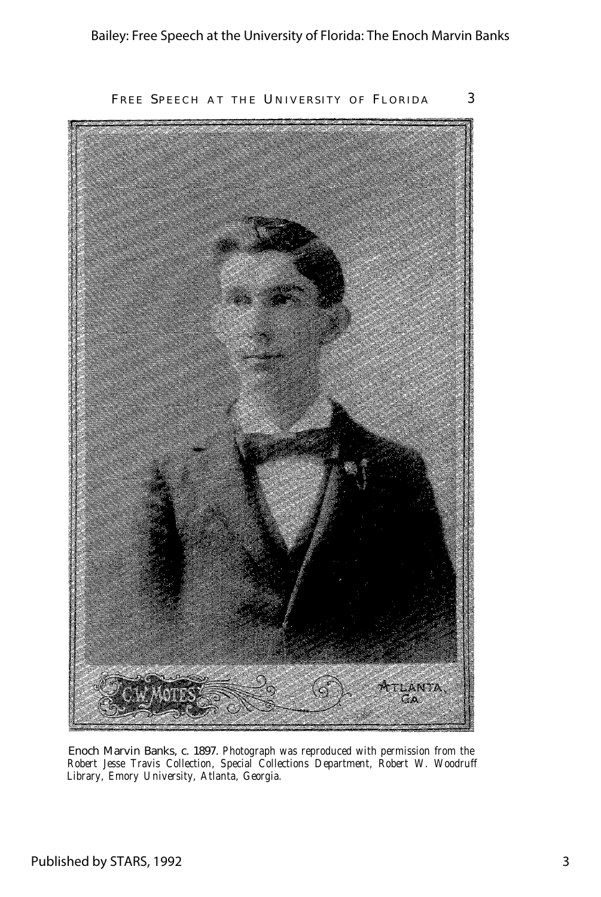

Enoch Marvin Banks, c. 1897. *Photograph was reproduced with permission from the Robert Jesse Travis Collection, Special Collections Department, Robert W. Woodruff Library, Emory University, Atlanta, Georgia.*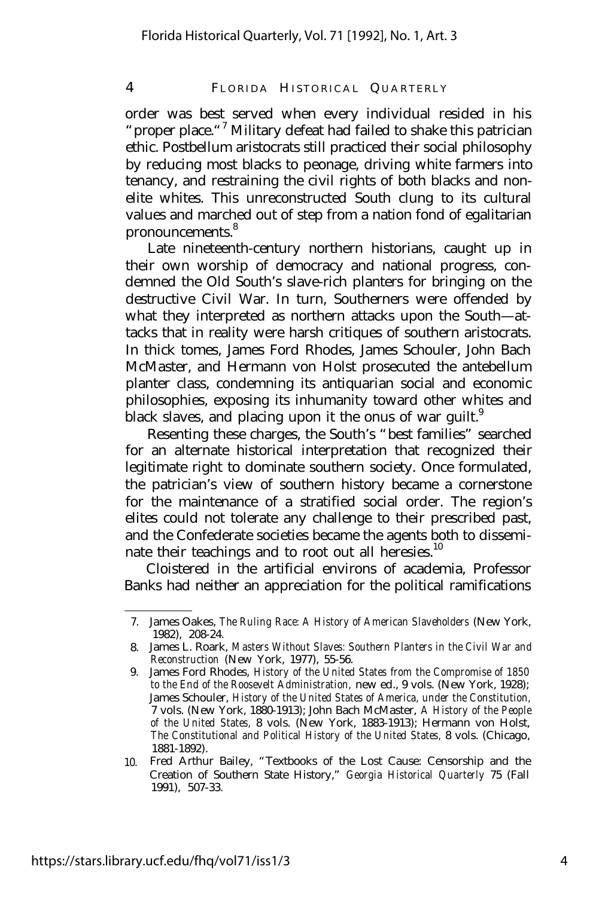order was best served when every individual resided in his " proper place."<sup>7</sup> Military defeat had failed to shake this patrician ethic. Postbellum aristocrats still practiced their social philosophy by reducing most blacks to peonage, driving white farmers into tenancy, and restraining the civil rights of both blacks and nonelite whites. This unreconstructed South clung to its cultural values and marched out of step from a nation fond of egalitarian pronouncements.<sup>8</sup>

Late nineteenth-century northern historians, caught up in their own worship of democracy and national progress, condemned the Old South's slave-rich planters for bringing on the destructive Civil War. In turn, Southerners were offended by what they interpreted as northern attacks upon the South— attacks that in reality were harsh critiques of southern aristocrats. In thick tomes, James Ford Rhodes, James Schouler, John Bach McMaster, and Hermann von Holst prosecuted the antebellum planter class, condemning its antiquarian social and economic philosophies, exposing its inhumanity toward other whites and black slaves, and placing upon it the onus of war guilt.<sup>9</sup>

Resenting these charges, the South's "best families" searched for an alternate historical interpretation that recognized their legitimate right to dominate southern society. Once formulated, the patrician's view of southern history became a cornerstone for the maintenance of a stratified social order. The region's elites could not tolerate any challenge to their prescribed past, and the Confederate societies became the agents both to disseminate their teachings and to root out all heresies.<sup>10</sup>

Cloistered in the artificial environs of academia, Professor Banks had neither an appreciation for the political ramifications

<sup>7.</sup> James Oakes, *The Ruling Race: A History of American Slaveholders* (New York, 1982), 208-24.

<sup>8.</sup> James L. Roark, *Masters Without Slaves: Southern Planters in the Civil War and Reconstruction* (New York, 1977), 55-56.

<sup>9.</sup> James Ford Rhodes, *History of the United States from the Compromise of 1850 to the End of the Roosevelt Administration,* new ed., 9 vols. (New York, 1928); James Schouler, *History of the United States of America, under the Constitution,* 7 vols. (New York, 1880-1913); John Bach McMaster, *A History of the People of the United States,* 8 vols. (New York, 1883-1913); Hermann von Holst, *The Constitutional and Political History of the United States,* 8 vols. (Chicago, 1881-1892).

<sup>10.</sup> Fred Arthur Bailey, "Textbooks of the Lost Cause: Censorship and the Creation of Southern State History," *Georgia Historical Quarterly* 75 (Fall 1991), 507-33.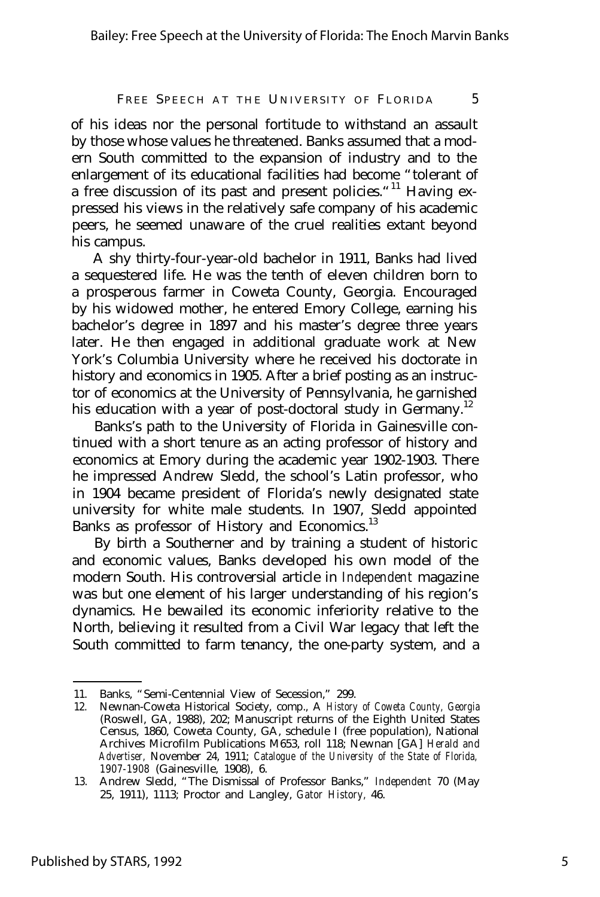of his ideas nor the personal fortitude to withstand an assault by those whose values he threatened. Banks assumed that a modern South committed to the expansion of industry and to the enlargement of its educational facilities had become "tolerant of a free discussion of its past and present policies."<sup>11</sup> Having expressed his views in the relatively safe company of his academic peers, he seemed unaware of the cruel realities extant beyond his campus.

A shy thirty-four-year-old bachelor in 1911, Banks had lived a sequestered life. He was the tenth of eleven children born to a prosperous farmer in Coweta County, Georgia. Encouraged by his widowed mother, he entered Emory College, earning his bachelor's degree in 1897 and his master's degree three years later. He then engaged in additional graduate work at New York's Columbia University where he received his doctorate in history and economics in 1905. After a brief posting as an instructor of economics at the University of Pennsylvania, he garnished his education with a year of post-doctoral study in Germany.<sup>12</sup>

Banks's path to the University of Florida in Gainesville continued with a short tenure as an acting professor of history and economics at Emory during the academic year 1902-1903. There he impressed Andrew Sledd, the school's Latin professor, who in 1904 became president of Florida's newly designated state university for white male students. In 1907, Sledd appointed Banks as professor of History and Economics.<sup>13</sup>

By birth a Southerner and by training a student of historic and economic values, Banks developed his own model of the modern South. His controversial article in *Independent* magazine was but one element of his larger understanding of his region's dynamics. He bewailed its economic inferiority relative to the North, believing it resulted from a Civil War legacy that left the South committed to farm tenancy, the one-party system, and a

<sup>11.</sup> Banks, "Semi-Centennial View of Secession," 299.

<sup>12.</sup> Newnan-Coweta Historical Society, comp., A *History of Coweta County, Georgia* (Roswell, GA, 1988), 202; Manuscript returns of the Eighth United States Census, 1860, Coweta County, GA, schedule I (free population), National Archives Microfilm Publications M653, roll 118; Newnan [GA] *Herald and Advertiser,* November 24, 1911; *Catalogue of the University of the State of Florida, 1907-1908* (Gainesville, 1908), 6.

<sup>13.</sup> Andrew Sledd, "The Dismissal of Professor Banks," *Independent* 70 (May 25, 1911), 1113; Proctor and Langley, *Gator History,* 46.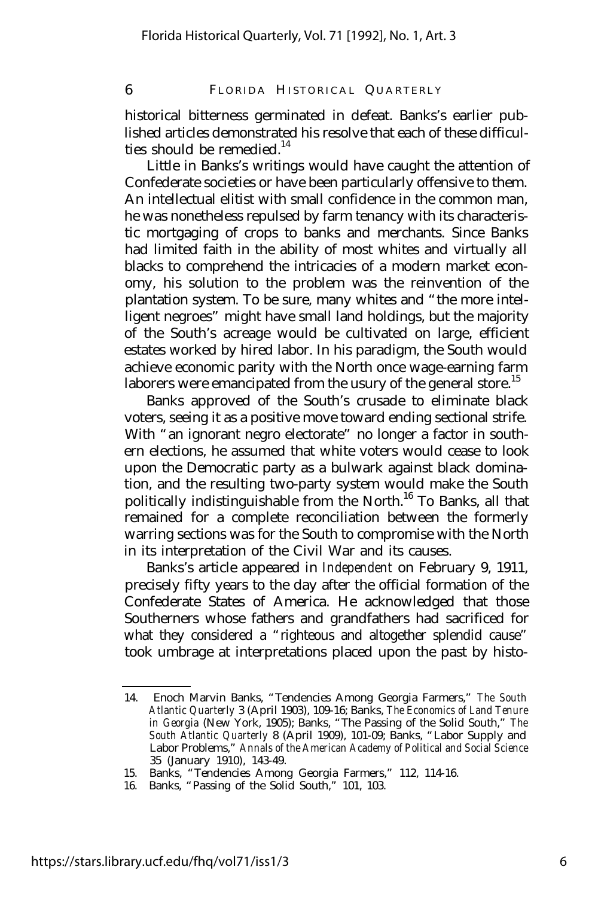historical bitterness germinated in defeat. Banks's earlier published articles demonstrated his resolve that each of these difficulties should be remedied. $14$ 

Little in Banks's writings would have caught the attention of Confederate societies or have been particularly offensive to them. An intellectual elitist with small confidence in the common man, he was nonetheless repulsed by farm tenancy with its characteristic mortgaging of crops to banks and merchants. Since Banks had limited faith in the ability of most whites and virtually all blacks to comprehend the intricacies of a modern market economy, his solution to the problem was the reinvention of the plantation system. To be sure, many whites and "the more intelligent negroes" might have small land holdings, but the majority of the South's acreage would be cultivated on large, efficient estates worked by hired labor. In his paradigm, the South would achieve economic parity with the North once wage-earning farm laborers were emancipated from the usury of the general store.<sup>15</sup>

Banks approved of the South's crusade to eliminate black voters, seeing it as a positive move toward ending sectional strife. With "an ignorant negro electorate" no longer a factor in southern elections, he assumed that white voters would cease to look upon the Democratic party as a bulwark against black domination, and the resulting two-party system would make the South politically indistinguishable from the North.<sup>16</sup> To Banks, all that remained for a complete reconciliation between the formerly warring sections was for the South to compromise with the North in its interpretation of the Civil War and its causes.

Banks's article appeared in *Independent* on February 9, 1911, precisely fifty years to the day after the official formation of the Confederate States of America. He acknowledged that those Southerners whose fathers and grandfathers had sacrificed for what they considered a "righteous and altogether splendid cause" took umbrage at interpretations placed upon the past by histo-

<sup>14.</sup> Enoch Marvin Banks, "Tendencies Among Georgia Farmers," *The South Atlantic Quarterly* 3 (April 1903), 109-16; Banks, *The Economics of Land Tenure in Georgia* (New York, 1905); Banks, "The Passing of the Solid South," *The South Atlantic Quarterly* 8 (April 1909), 101-09; Banks, "Labor Supply and Labor Problems," *Annals of the American Academy of Political and Social Science* 35 (January 1910), 143-49.

<sup>15.</sup> Banks, "Tendencies Among Georgia Farmers," 112, 114-16.

<sup>16.</sup> Banks, "Passing of the Solid South," 101, 103.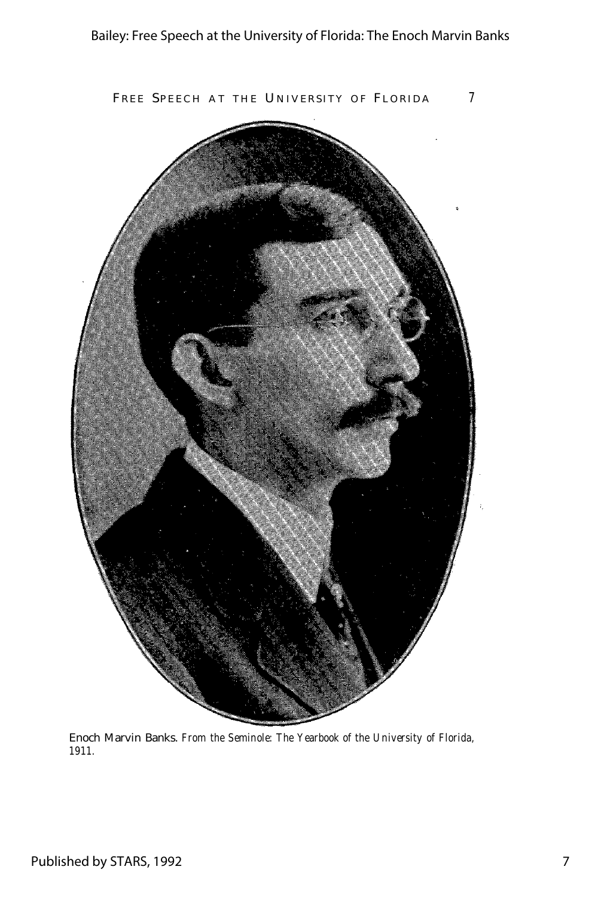

Enoch Marvin Banks. *From the Seminole: The Yearbook of the University of Florida, 1911.*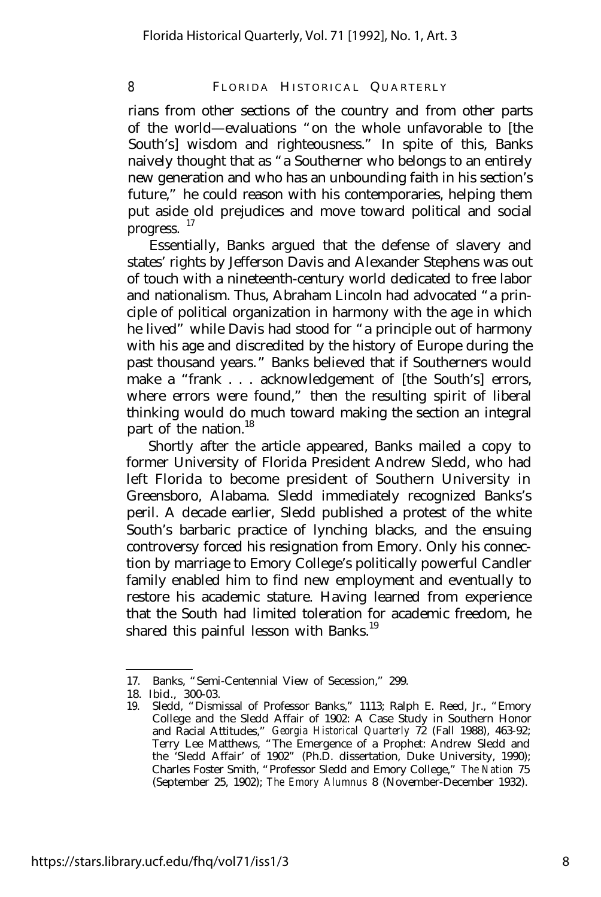rians from other sections of the country and from other parts of the world— evaluations "on the whole unfavorable to [the South's] wisdom and righteousness." In spite of this, Banks naively thought that as "a Southerner who belongs to an entirely new generation and who has an unbounding faith in his section's future," he could reason with his contemporaries, helping them put aside old prejudices and move toward political and social progress.  $17$ 

Essentially, Banks argued that the defense of slavery and states' rights by Jefferson Davis and Alexander Stephens was out of touch with a nineteenth-century world dedicated to free labor and nationalism. Thus, Abraham Lincoln had advocated "a principle of political organization in harmony with the age in which he lived" while Davis had stood for "a principle out of harmony with his age and discredited by the history of Europe during the past thousand years." Banks believed that if Southerners would make a "frank . . . acknowledgement of [the South's] errors, where errors were found," then the resulting spirit of liberal thinking would do much toward making the section an integral part of the nation.<sup>18</sup>

Shortly after the article appeared, Banks mailed a copy to former University of Florida President Andrew Sledd, who had left Florida to become president of Southern University in Greensboro, Alabama. Sledd immediately recognized Banks's peril. A decade earlier, Sledd published a protest of the white South's barbaric practice of lynching blacks, and the ensuing controversy forced his resignation from Emory. Only his connection by marriage to Emory College's politically powerful Candler family enabled him to find new employment and eventually to restore his academic stature. Having learned from experience that the South had limited toleration for academic freedom, he shared this painful lesson with Banks.<sup>19</sup>

<sup>17.</sup> Banks, "Semi-Centennial View of Secession," 299.

<sup>18.</sup> Ibid., 300-03.

<sup>19.</sup> Sledd, "Dismissal of Professor Banks," 1113; Ralph E. Reed, Jr., "Emory College and the Sledd Affair of 1902: A Case Study in Southern Honor and Racial Attitudes," *Georgia Historical Quarterly* 72 (Fall 1988), 463-92; Terry Lee Matthews, "The Emergence of a Prophet: Andrew Sledd and the 'Sledd Affair' of 1902" (Ph.D. dissertation, Duke University, 1990); Charles Foster Smith, "Professor Sledd and Emory College," *The Nation* 75 (September 25, 1902); *The Emory Alumnus* 8 (November-December 1932).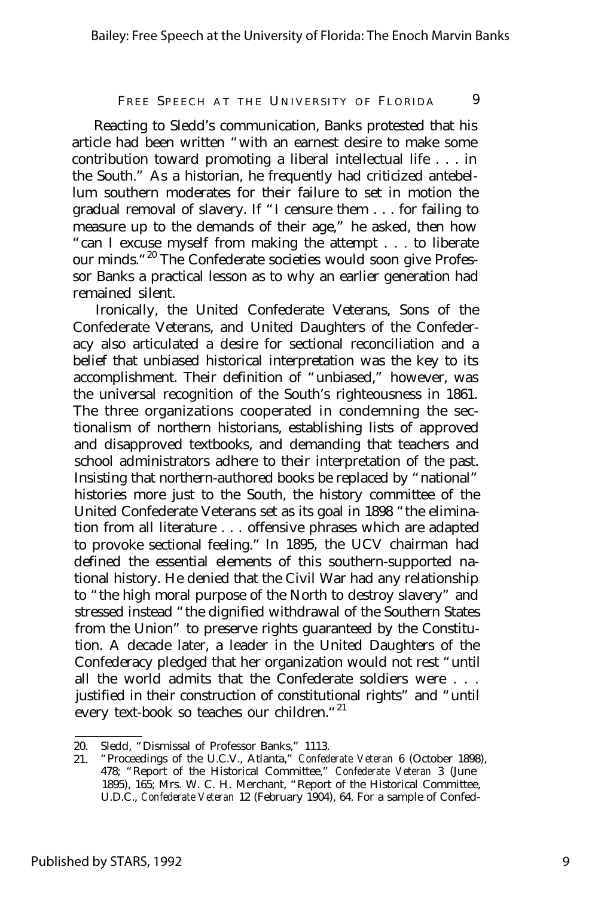Reacting to Sledd's communication, Banks protested that his article had been written "with an earnest desire to make some contribution toward promoting a liberal intellectual life . . . in the South." As a historian, he frequently had criticized antebellum southern moderates for their failure to set in motion the gradual removal of slavery. If "I censure them . . . for failing to measure up to the demands of their age," he asked, then how "can I excuse myself from making the attempt . . . to liberate our minds. "<sup>20</sup> The Confederate societies would soon give Professor Banks a practical lesson as to why an earlier generation had remained silent.

Ironically, the United Confederate Veterans, Sons of the Confederate Veterans, and United Daughters of the Confederacy also articulated a desire for sectional reconciliation and a belief that unbiased historical interpretation was the key to its accomplishment. Their definition of "unbiased," however, was the universal recognition of the South's righteousness in 1861. The three organizations cooperated in condemning the sectionalism of northern historians, establishing lists of approved and disapproved textbooks, and demanding that teachers and school administrators adhere to their interpretation of the past. Insisting that northern-authored books be replaced by "national" histories more just to the South, the history committee of the United Confederate Veterans set as its goal in 1898 "the elimination from all literature . . . offensive phrases which are adapted to provoke sectional feeling." In 1895, the UCV chairman had defined the essential elements of this southern-supported national history. He denied that the Civil War had any relationship to "the high moral purpose of the North to destroy slavery" and stressed instead "the dignified withdrawal of the Southern States from the Union" to preserve rights guaranteed by the Constitution. A decade later, a leader in the United Daughters of the Confederacy pledged that her organization would not rest "until all the world admits that the Confederate soldiers were . . . justified in their construction of constitutional rights" and "until every text-book so teaches our children."<sup>21</sup>

<sup>20.</sup> Sledd, "Dismissal of Professor Banks," 1113.

<sup>21.</sup> "Proceedings of the U.C.V., Atlanta," *Confederate Veteran* 6 (October 1898), 478; "Report of the Historical Committee," *Confederate Veteran* 3 (June 1895), 165; Mrs. W. C. H. Merchant, "Report of the Historical Committee, U.D.C., *Confederate Veteran* 12 (February 1904), 64. For a sample of Confed-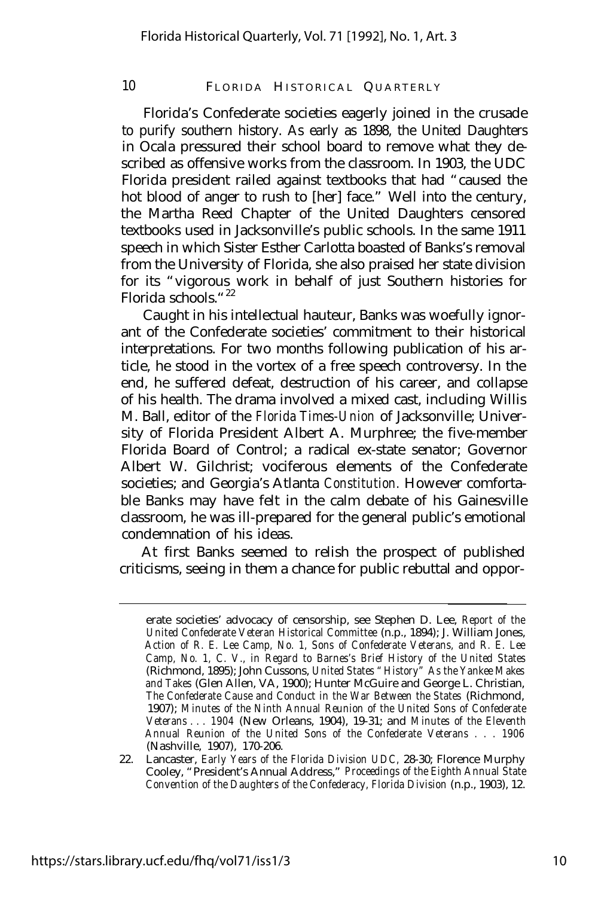Florida's Confederate societies eagerly joined in the crusade to purify southern history. As early as 1898, the United Daughters in Ocala pressured their school board to remove what they described as offensive works from the classroom. In 1903, the UDC Florida president railed against textbooks that had "caused the hot blood of anger to rush to [her] face." Well into the century, the Martha Reed Chapter of the United Daughters censored textbooks used in Jacksonville's public schools. In the same 1911 speech in which Sister Esther Carlotta boasted of Banks's removal from the University of Florida, she also praised her state division for its "vigorous work in behalf of just Southern histories for Florida schools."<sup>22</sup>

Caught in his intellectual hauteur, Banks was woefully ignorant of the Confederate societies' commitment to their historical interpretations. For two months following publication of his article, he stood in the vortex of a free speech controversy. In the end, he suffered defeat, destruction of his career, and collapse of his health. The drama involved a mixed cast, including Willis M. Ball, editor of the *Florida Times-Union* of Jacksonville; University of Florida President Albert A. Murphree; the five-member Florida Board of Control; a radical ex-state senator; Governor Albert W. Gilchrist; vociferous elements of the Confederate societies; and Georgia's Atlanta *Constitution.* However comfortable Banks may have felt in the calm debate of his Gainesville classroom, he was ill-prepared for the general public's emotional condemnation of his ideas.

At first Banks seemed to relish the prospect of published criticisms, seeing in them a chance for public rebuttal and oppor-

erate societies' advocacy of censorship, see Stephen D. Lee, *Report of the United Confederate Veteran Historical Committee* (n.p., 1894); J. William Jones, *Action of R. E. Lee Camp, No. 1, Sons of Confederate Veterans, and R. E. Lee Camp, No. 1, C. V., in Regard to Barnes's Brief History of the United States* (Richmond, 1895); John Cussons, *United States "History" As the Yankee Makes and Takes* (Glen Allen, VA, 1900); Hunter McGuire and George L. Christian, *The Confederate Cause and Conduct in the War Between the States* (Richmond, 1907); *Minutes of the Ninth Annual Reunion of the United Sons of Confederate Veterans . . . 1904* (New Orleans, 1904), 19-31; and *Minutes of the Eleventh Annual Reunion of the United Sons of the Confederate Veterans . . . 1906* (Nashville, 1907), 170-206.

<sup>22.</sup> Lancaster, *Early Years of the Florida Division UDC,* 28-30; Florence Murphy Cooley, "President's Annual Address," *Proceedings of the Eighth Annual State Convention of the Daughters of the Confederacy, Florida Division* (n.p., 1903), 12.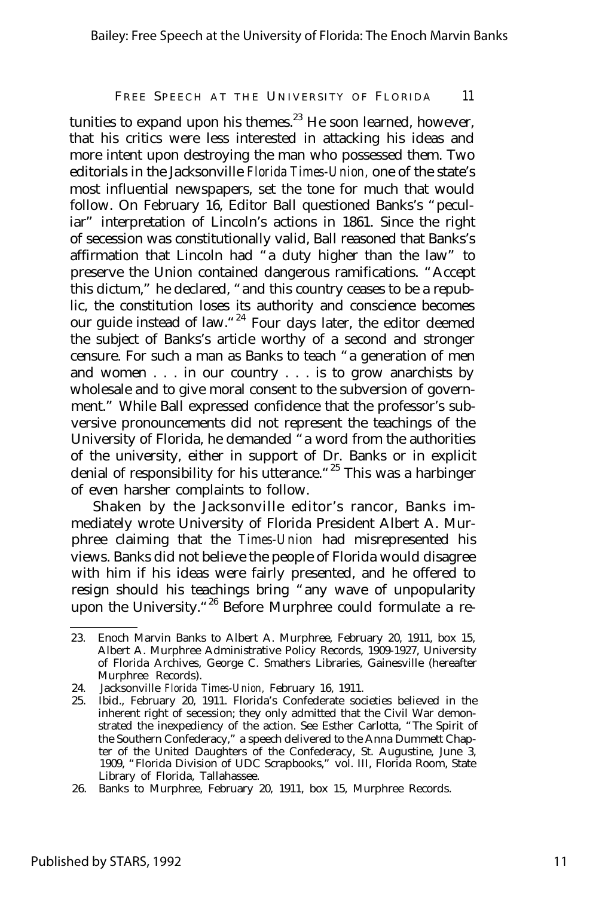tunities to expand upon his themes. $23$  He soon learned, however, that his critics were less interested in attacking his ideas and more intent upon destroying the man who possessed them. Two editorials in the Jacksonville *Florida Times-Union,* one of the state's most influential newspapers, set the tone for much that would follow. On February 16, Editor Ball questioned Banks's "peculiar" interpretation of Lincoln's actions in 1861. Since the right of secession was constitutionally valid, Ball reasoned that Banks's affirmation that Lincoln had "a duty higher than the law" to preserve the Union contained dangerous ramifications. "Accept this dictum," he declared, "and this country ceases to be a republic, the constitution loses its authority and conscience becomes our guide instead of law."<sup>24</sup> Four days later, the editor deemed the subject of Banks's article worthy of a second and stronger censure. For such a man as Banks to teach "a generation of men and women . . . in our country . . . is to grow anarchists by wholesale and to give moral consent to the subversion of government." While Ball expressed confidence that the professor's subversive pronouncements did not represent the teachings of the University of Florida, he demanded "a word from the authorities of the university, either in support of Dr. Banks or in explicit denial of responsibility for his utterance."<sup>25</sup> This was a harbinger of even harsher complaints to follow.

Shaken by the Jacksonville editor's rancor, Banks immediately wrote University of Florida President Albert A. Murphree claiming that the *Times-Union* had misrepresented his views. Banks did not believe the people of Florida would disagree with him if his ideas were fairly presented, and he offered to resign should his teachings bring "any wave of unpopularity upon the University.<sup>"26</sup> Before Murphree could formulate a re-

<sup>23.</sup> Enoch Marvin Banks to Albert A. Murphree, February 20, 1911, box 15, Albert A. Murphree Administrative Policy Records, 1909-1927, University of Florida Archives, George C. Smathers Libraries, Gainesville (hereafter Murphree Records).

<sup>24.</sup> Jacksonville *Florida Times-Union,* February 16, 1911.

<sup>25.</sup> Ibid., February 20, 1911. Florida's Confederate societies believed in the inherent right of secession; they only admitted that the Civil War demonstrated the inexpediency of the action. See Esther Carlotta, "The Spirit of the Southern Confederacy," a speech delivered to the Anna Dummett Chapter of the United Daughters of the Confederacy, St. Augustine, June 3, 1909, "Florida Division of UDC Scrapbooks," vol. III, Florida Room, State Library of Florida, Tallahassee.

<sup>26.</sup> Banks to Murphree, February 20, 1911, box 15, Murphree Records.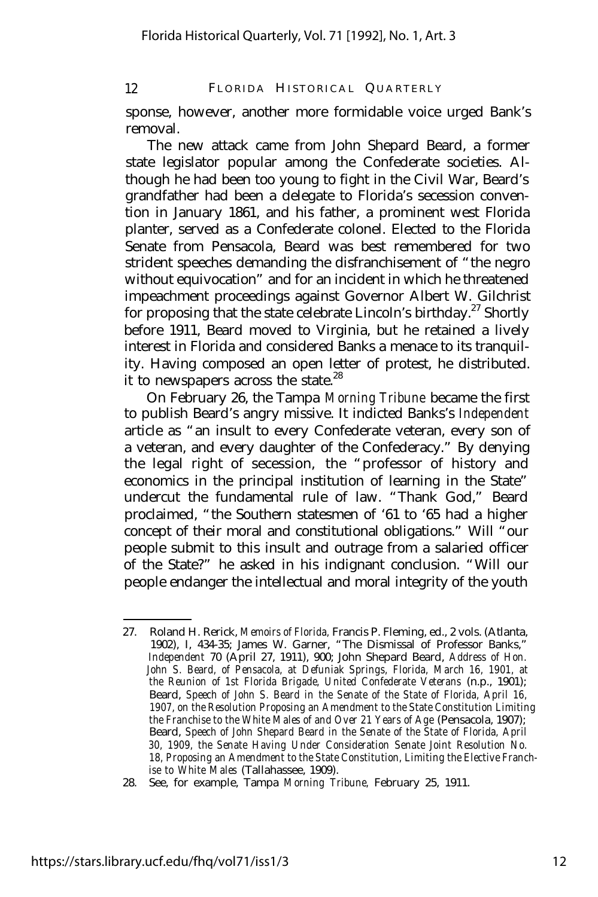sponse, however, another more formidable voice urged Bank's removal.

The new attack came from John Shepard Beard, a former state legislator popular among the Confederate societies. Although he had been too young to fight in the Civil War, Beard's grandfather had been a delegate to Florida's secession convention in January 1861, and his father, a prominent west Florida planter, served as a Confederate colonel. Elected to the Florida Senate from Pensacola, Beard was best remembered for two strident speeches demanding the disfranchisement of "the negro without equivocation" and for an incident in which he threatened impeachment proceedings against Governor Albert W. Gilchrist for proposing that the state celebrate Lincoln's birthday.<sup>27</sup> Shortly before 1911, Beard moved to Virginia, but he retained a lively interest in Florida and considered Banks a menace to its tranquility. Having composed an open letter of protest, he distributed. it to newspapers across the state.<sup>28</sup>

On February 26, the Tampa *Morning Tribune* became the first to publish Beard's angry missive. It indicted Banks's *Independent* article as "an insult to every Confederate veteran, every son of a veteran, and every daughter of the Confederacy." By denying the legal right of secession, the "professor of history and economics in the principal institution of learning in the State" undercut the fundamental rule of law. "Thank God," Beard proclaimed, "the Southern statesmen of '61 to '65 had a higher concept of their moral and constitutional obligations." Will "our people submit to this insult and outrage from a salaried officer of the State?" he asked in his indignant conclusion. "Will our people endanger the intellectual and moral integrity of the youth

<sup>27.</sup> Roland H. Rerick, *Memoirs of Florida,* Francis P. Fleming, ed., 2 vols. (Atlanta, 1902), I, 434-35; James W. Garner, "The Dismissal of Professor Banks," *Independent* 70 (April 27, 1911), 900; John Shepard Beard, *Address of Hon. John S. Beard, of Pensacola, at Defuniak Springs, Florida, March 16, 1901, at the Reunion of 1st Florida Brigade, United Confederate Veterans* (n.p., 1901); Beard, *Speech of John S. Beard in the Senate of the State of Florida, April 16, 1907, on the Resolution Proposing an Amendment to the State Constitution Limiting the Franchise to the White Males of and Over 21 Years of Age (Pensacola, 1907);* Beard, *Speech of John Shepard Beard in the Senate of the State of Florida, April 30, 1909, the Senate Having Under Consideration Senate Joint Resolution No. 18, Proposing an Amendment to the State Constitution, Limiting the Elective Franchise to White Males* (Tallahassee, 1909).

<sup>28.</sup> See, for example, Tampa *Morning Tribune,* February 25, 1911.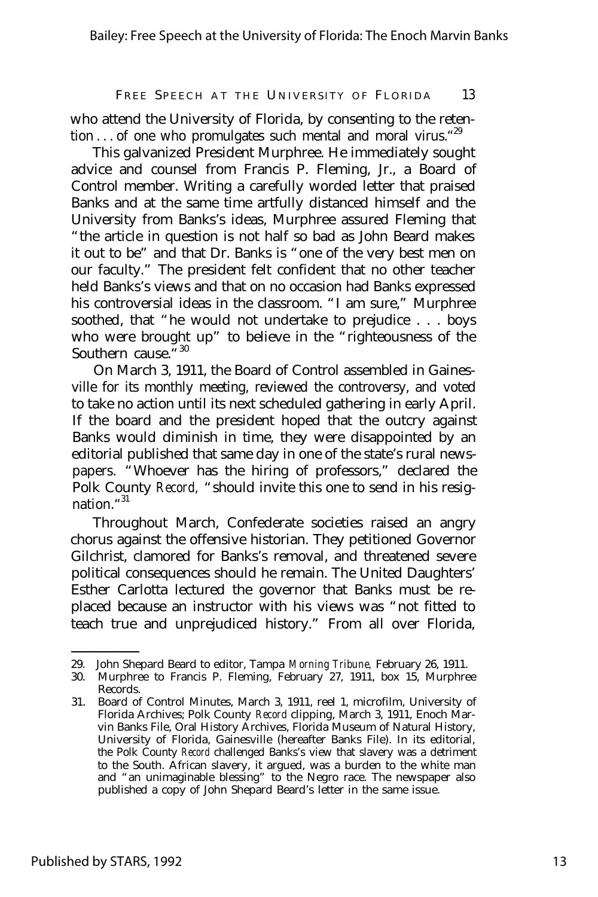who attend the University of Florida, by consenting to the retention . . . of one who promulgates such mental and moral virus. "29

This galvanized President Murphree. He immediately sought advice and counsel from Francis P. Fleming, Jr., a Board of Control member. Writing a carefully worded letter that praised Banks and at the same time artfully distanced himself and the University from Banks's ideas, Murphree assured Fleming that "the article in question is not half so bad as John Beard makes it out to be" and that Dr. Banks is "one of the very best men on our faculty." The president felt confident that no other teacher held Banks's views and that on no occasion had Banks expressed his controversial ideas in the classroom. "I am sure," Murphree soothed, that "he would not undertake to prejudice . . . boys who were brought up" to believe in the "righteousness of the Southern cause.<sup>"30</sup>

On March 3, 1911, the Board of Control assembled in Gainesville for its monthly meeting, reviewed the controversy, and voted to take no action until its next scheduled gathering in early April. If the board and the president hoped that the outcry against Banks would diminish in time, they were disappointed by an editorial published that same day in one of the state's rural newspapers. "Whoever has the hiring of professors," declared the Polk County *Record,* "should invite this one to send in his resignation."<sup>31</sup>

Throughout March, Confederate societies raised an angry chorus against the offensive historian. They petitioned Governor Gilchrist, clamored for Banks's removal, and threatened severe political consequences should he remain. The United Daughters' Esther Carlotta lectured the governor that Banks must be replaced because an instructor with his views was "not fitted to teach true and unprejudiced history." From all over Florida,

<sup>29.</sup> John Shepard Beard to editor, Tampa *Morning Tribune,* February 26, 1911.

<sup>30.</sup> Murphree to Francis P. Fleming, February 27, 1911, box 15, Murphree Records.

<sup>31.</sup> Board of Control Minutes, March 3, 1911, reel 1, microfilm, University of Florida Archives; Polk County *Record* clipping, March 3, 1911, Enoch Marvin Banks File, Oral History Archives, Florida Museum of Natural History, University of Florida, Gainesville (hereafter Banks File). In its editorial, the Polk County *Record* challenged Banks's view that slavery was a detriment to the South. African slavery, it argued, was a burden to the white man and "an unimaginable blessing" to the Negro race. The newspaper also published a copy of John Shepard Beard's letter in the same issue.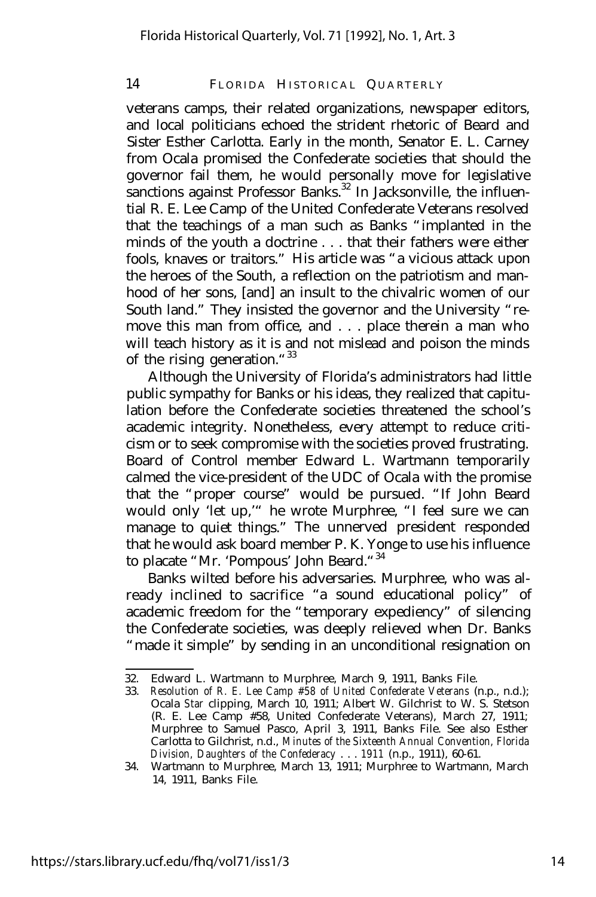veterans camps, their related organizations, newspaper editors, and local politicians echoed the strident rhetoric of Beard and Sister Esther Carlotta. Early in the month, Senator E. L. Carney from Ocala promised the Confederate societies that should the governor fail them, he would personally move for legislative sanctions against Professor Banks.<sup>32</sup> In Jacksonville, the influential R. E. Lee Camp of the United Confederate Veterans resolved that the teachings of a man such as Banks "implanted in the minds of the youth a doctrine . . . that their fathers were either fools, knaves or traitors." His article was "a vicious attack upon the heroes of the South, a reflection on the patriotism and manhood of her sons, [and] an insult to the chivalric women of our South land." They insisted the governor and the University "remove this man from office, and . . . place therein a man who will teach history as it is and not mislead and poison the minds of the rising generation."<sup>33</sup>

Although the University of Florida's administrators had little public sympathy for Banks or his ideas, they realized that capitulation before the Confederate societies threatened the school's academic integrity. Nonetheless, every attempt to reduce criticism or to seek compromise with the societies proved frustrating. Board of Control member Edward L. Wartmann temporarily calmed the vice-president of the UDC of Ocala with the promise that the "proper course" would be pursued. "If John Beard would only 'let up,'" he wrote Murphree, "I feel sure we can manage to quiet things." The unnerved president responded that he would ask board member P. K. Yonge to use his influence to placate "Mr. 'Pompous' John Beard."<sup>34</sup>

Banks wilted before his adversaries. Murphree, who was already inclined to sacrifice "a sound educational policy" of academic freedom for the "temporary expediency" of silencing the Confederate societies, was deeply relieved when Dr. Banks "made it simple" by sending in an unconditional resignation on

<sup>32.</sup> Edward L. Wartmann to Murphree, March 9, 1911, Banks File.

<sup>33.</sup> *Resolution of R. E. Lee Camp #58 of United Confederate Veterans* (n.p., n.d.); Ocala *Star* clipping, March 10, 1911; Albert W. Gilchrist to W. S. Stetson (R. E. Lee Camp #58, United Confederate Veterans), March 27, 1911; Murphree to Samuel Pasco, April 3, 1911, Banks File. See also Esther Carlotta to Gilchrist, n.d., *Minutes of the Sixteenth Annual Convention, Florida Division, Daughters of the Confederacy* . . . *1911* (n.p., 1911), 60-61.

<sup>34.</sup> Wartmann to Murphree, March 13, 1911; Murphree to Wartmann, March 14, 1911, Banks File.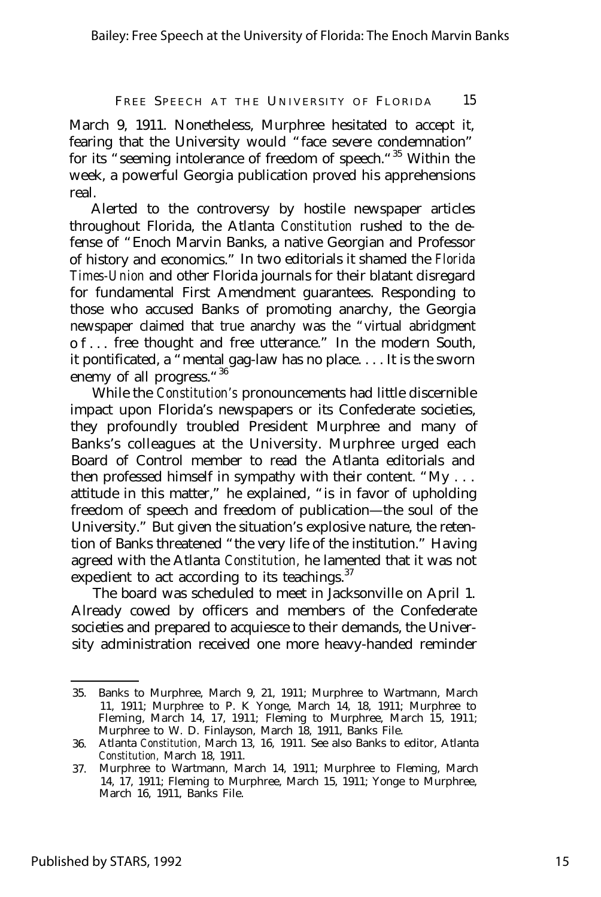March 9, 1911. Nonetheless, Murphree hesitated to accept it, fearing that the University would "face severe condemnation" for its "seeming intolerance of freedom of speech."<sup>35</sup> Within the week, a powerful Georgia publication proved his apprehensions real.

Alerted to the controversy by hostile newspaper articles throughout Florida, the Atlanta *Constitution* rushed to the defense of "Enoch Marvin Banks, a native Georgian and Professor of history and economics." In two editorials it shamed the *Florida Times-Union* and other Florida journals for their blatant disregard for fundamental First Amendment guarantees. Responding to those who accused Banks of promoting anarchy, the Georgia newspaper claimed that true anarchy was the "virtual abridgment of.. . free thought and free utterance." In the modern South, it pontificated, a "mental gag-law has no place.... It is the sworn enemy of all progress."<sup>36</sup>

While the *Constitution's* pronouncements had little discernible impact upon Florida's newspapers or its Confederate societies, they profoundly troubled President Murphree and many of Banks's colleagues at the University. Murphree urged each Board of Control member to read the Atlanta editorials and then professed himself in sympathy with their content. "My . . . attitude in this matter," he explained, "is in favor of upholding freedom of speech and freedom of publication— the soul of the University." But given the situation's explosive nature, the retention of Banks threatened "the very life of the institution." Having agreed with the Atlanta *Constitution,* he lamented that it was not expedient to act according to its teachings. $37$ 

The board was scheduled to meet in Jacksonville on April 1. Already cowed by officers and members of the Confederate societies and prepared to acquiesce to their demands, the University administration received one more heavy-handed reminder

<sup>35.</sup> Banks to Murphree, March 9, 21, 1911; Murphree to Wartmann, March 11, 1911; Murphree to P. K Yonge, March 14, 18, 1911; Murphree to Fleming, March 14, 17, 1911; Fleming to Murphree, March 15, 1911; Murphree to W. D. Finlayson, March 18, 1911, Banks File.

<sup>36.</sup> Atlanta *Constitution,* March 13, 16, 1911. See also Banks to editor, Atlanta *Constitution,* March 18, 1911.

<sup>37.</sup> Murphree to Wartmann, March 14, 1911; Murphree to Fleming, March 14, 17, 1911; Fleming to Murphree, March 15, 1911; Yonge to Murphree, March 16, 1911, Banks File.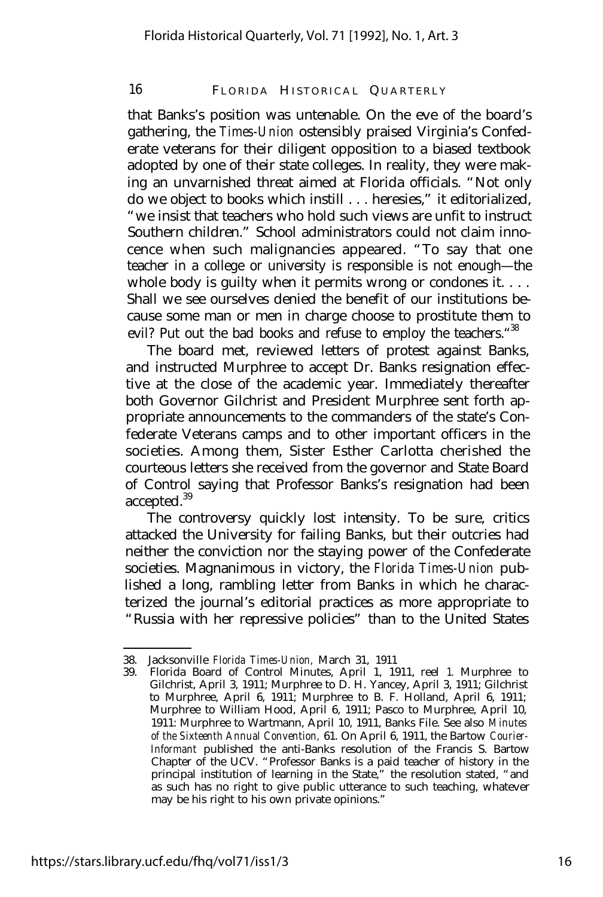that Banks's position was untenable. On the eve of the board's gathering, the *Times-Union* ostensibly praised Virginia's Confederate veterans for their diligent opposition to a biased textbook adopted by one of their state colleges. In reality, they were making an unvarnished threat aimed at Florida officials. "Not only do we object to books which instill . . . heresies," it editorialized, "we insist that teachers who hold such views are unfit to instruct Southern children." School administrators could not claim innocence when such malignancies appeared. "To say that one teacher in a college or university is responsible is not enough— the whole body is guilty when it permits wrong or condones it. . . . Shall we see ourselves denied the benefit of our institutions because some man or men in charge choose to prostitute them to evil? Put out the bad books and refuse to employ the teachers. "38

The board met, reviewed letters of protest against Banks, and instructed Murphree to accept Dr. Banks resignation effective at the close of the academic year. Immediately thereafter both Governor Gilchrist and President Murphree sent forth appropriate announcements to the commanders of the state's Confederate Veterans camps and to other important officers in the societies. Among them, Sister Esther Carlotta cherished the courteous letters she received from the governor and State Board of Control saying that Professor Banks's resignation had been accepted.<sup>39</sup>

The controversy quickly lost intensity. To be sure, critics attacked the University for failing Banks, but their outcries had neither the conviction nor the staying power of the Confederate societies. Magnanimous in victory, the *Florida Times-Union* published a long, rambling letter from Banks in which he characterized the journal's editorial practices as more appropriate to "Russia with her repressive policies" than to the United States

<sup>38.</sup> Jacksonville *Florida Times-Union,* March 31, 1911

<sup>39.</sup> Florida Board of Control Minutes, April 1, 1911, reel 1. Murphree to Gilchrist, April 3, 1911; Murphree to D. H. Yancey, April 3, 1911; Gilchrist to Murphree, April 6, 1911; Murphree to B. F. Holland, April 6, 1911; Murphree to William Hood, April 6, 1911; Pasco to Murphree, April 10, 1911: Murphree to Wartmann, April 10, 1911, Banks File. See also *Minutes of the Sixteenth Annual Convention,* 61. On April 6, 1911, the Bartow *Courier-Informant* published the anti-Banks resolution of the Francis S. Bartow Chapter of the UCV. "Professor Banks is a paid teacher of history in the principal institution of learning in the State," the resolution stated, "and as such has no right to give public utterance to such teaching, whatever may be his right to his own private opinions."